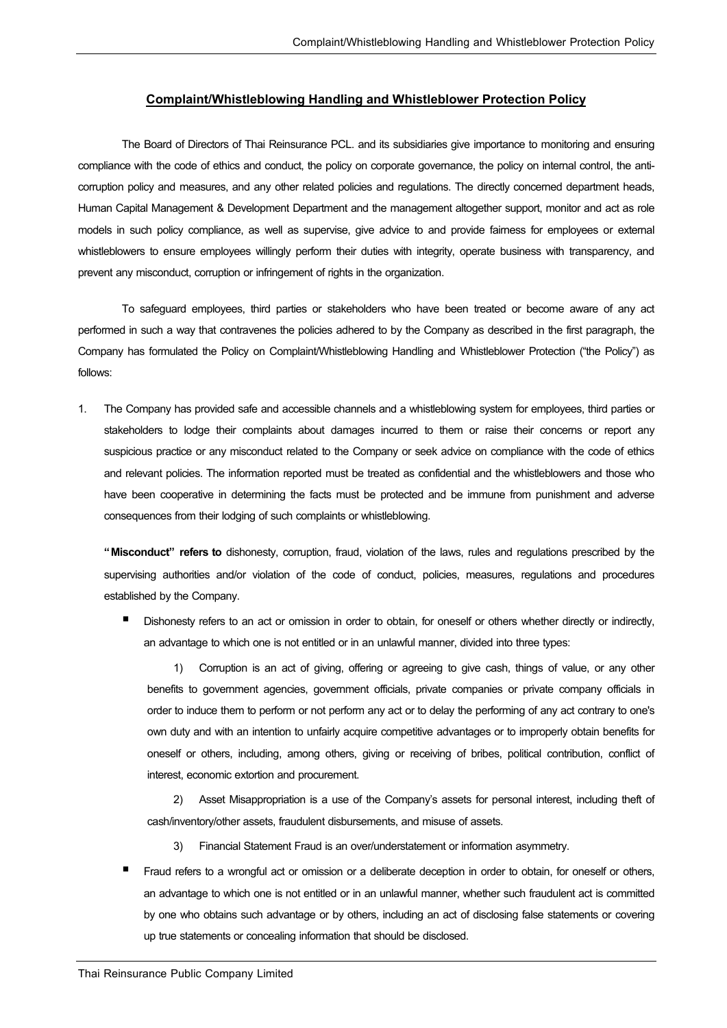#### **Complaint/Whistleblowing Handling and Whistleblower Protection Policy**

The Board of Directors of Thai Reinsurance PCL. and its subsidiaries give importance to monitoring and ensuring compliance with the code of ethics and conduct, the policy on corporate governance, the policy on internal control, the anticorruption policy and measures, and any other related policies and regulations. The directly concerned department heads, Human Capital Management & Development Department and the management altogether support, monitor and act as role models in such policy compliance, as well as supervise, give advice to and provide fairness for employees or external whistleblowers to ensure employees willingly perform their duties with integrity, operate business with transparency, and prevent any misconduct, corruption or infringement of rights in the organization.

To safeguard employees, third parties or stakeholders who have been treated or become aware of any act performed in such a way that contravenes the policies adhered to by the Company as described in the first paragraph, the Company has formulated the Policy on Complaint/Whistleblowing Handling and Whistleblower Protection ("the Policy") as follows:

1. The Company has provided safe and accessible channels and a whistleblowing system for employees, third parties or stakeholders to lodge their complaints about damages incurred to them or raise their concerns or report any suspicious practice or any misconduct related to the Company or seek advice on compliance with the code of ethics and relevant policies. The information reported must be treated as confidential and the whistleblowers and those who have been cooperative in determining the facts must be protected and be immune from punishment and adverse consequences from their lodging of such complaints or whistleblowing.

**"Misconduct" refers to** dishonesty, corruption, fraud, violation of the laws, rules and regulations prescribed by the supervising authorities and/or violation of the code of conduct, policies, measures, regulations and procedures established by the Company.

 Dishonesty refers to an act or omission in order to obtain, for oneself or others whether directly or indirectly, an advantage to which one is not entitled or in an unlawful manner, divided into three types:

1) Corruption is an act of giving, offering or agreeing to give cash, things of value, or any other benefits to government agencies, government officials, private companies or private company officials in order to induce them to perform or not perform any act or to delay the performing of any act contrary to one's own duty and with an intention to unfairly acquire competitive advantages or to improperly obtain benefits for oneself or others, including, among others, giving or receiving of bribes, political contribution, conflict of interest, economic extortion and procurement.

2) Asset Misappropriation is a use of the Company's assets for personal interest, including theft of cash/inventory/other assets, fraudulent disbursements, and misuse of assets.

- 3) Financial Statement Fraud is an over/understatement or information asymmetry.
- Fraud refers to a wrongful act or omission or a deliberate deception in order to obtain, for oneself or others, an advantage to which one is not entitled or in an unlawful manner, whether such fraudulent act is committed by one who obtains such advantage or by others, including an act of disclosing false statements or covering up true statements or concealing information that should be disclosed.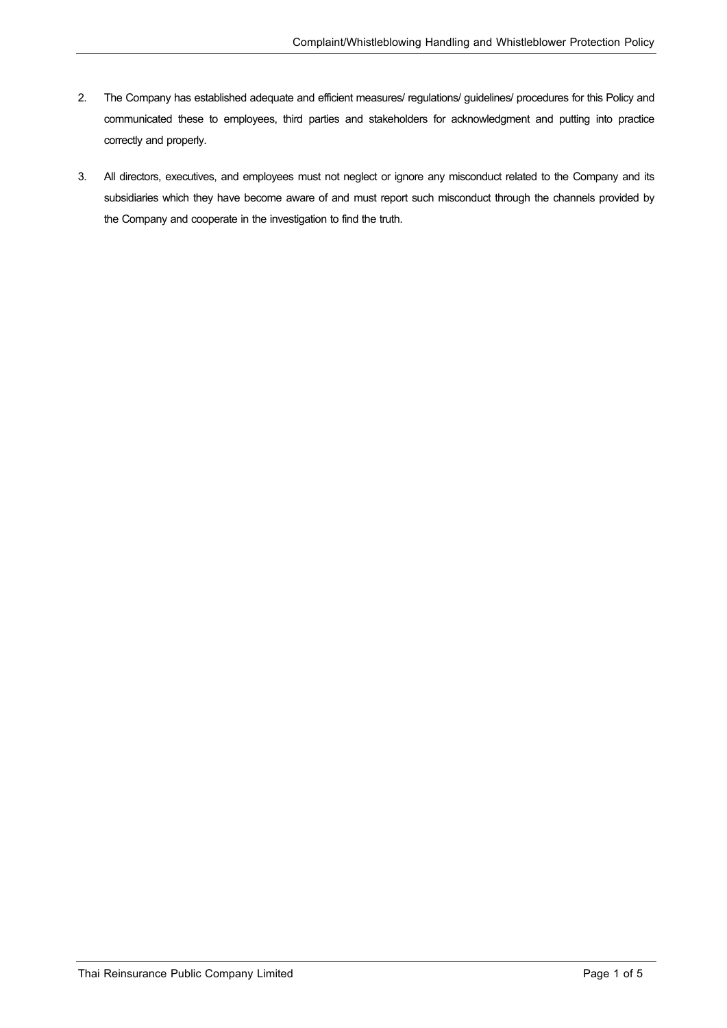- 2. The Company has established adequate and efficient measures/ regulations/guidelines/procedures for this Policy and communicated these to employees, third parties and stakeholders for acknowledgment and putting into practice correctly and properly.
- 3. All directors, executives, and employees must not neglect or ignore any misconduct related to the Company and its subsidiaries which they have become aware of and must report such misconduct through the channels provided by the Company and cooperate in the investigation to find the truth.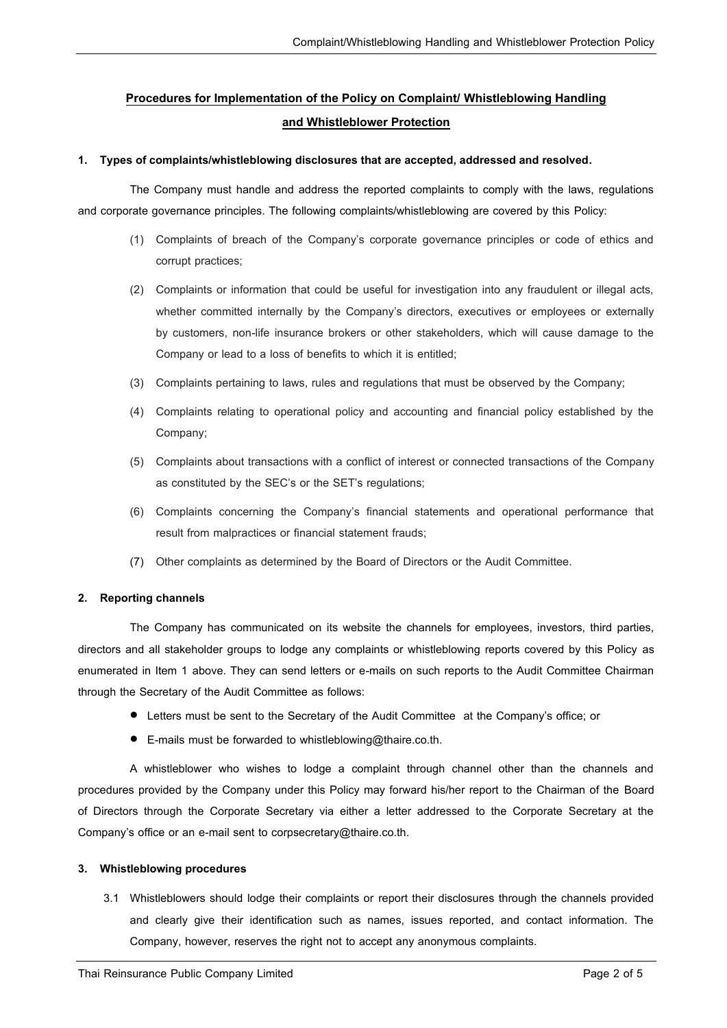# **Procedures for Implementation of the Policy on Complaint/ Whistleblowing Handling and Whistleblower Protection**

### **1. Types of complaints/whistleblowing disclosures that are accepted, addressed and resolved.**

The Company must handle and address the reported complaints to comply with the laws, regulations and corporate governance principles. The following complaints/whistleblowing are covered by this Policy:

- (1) Complaints of breach of the Company's corporate governance principles or code of ethics and corrupt practices;
- (2) Complaints or information that could be useful for investigation into any fraudulent or illegal acts, whether committed internally by the Company's directors, executives or employees or externally by customers, non-life insurance brokers or other stakeholders, which will cause damage to the Company or lead to a loss of benefits to which it is entitled;
- (3) Complaints pertaining to laws, rules and regulations that must be observed by the Company;
- (4) Complaints relating to operational policy and accounting and financial policy established by the Company;
- (5) Complaints about transactions with a conflict of interest or connected transactions of the Company as constituted by the SEC's or the SET's regulations;
- (6) Complaints concerning the Company's financial statements and operational performance that result from malpractices or financial statement frauds;
- (7) Other complaints as determined by the Board of Directors or the Audit Committee.

## **2. Reporting channels**

The Company has communicated on its website the channels for employees, investors, third parties, directors and all stakeholder groups to lodge any complaints or whistleblowing reports covered by this Policy as enumerated in Item 1 above. They can send letters or e-mails on such reports to the Audit Committee Chairman through the Secretary of the Audit Committee as follows:

- Letters must be sent to the Secretary of the Audit Committee at the Company's office; or
- E-mails must be forwarded to whistleblowing@thaire.co.th.

A whistleblower who wishes to lodge a complaint through channel other than the channels and procedures provided by the Company under this Policy may forward his/her report to the Chairman of the Board of Directors through the Corporate Secretary via either a letter addressed to the Corporate Secretary at the Company's office or an e-mail sent to corpsecretary@thaire.co.th.

#### **3. Whistleblowing procedures**

3.1 Whistleblowers should lodge their complaints or report their disclosures through the channels provided and clearly give their identification such as names, issues reported, and contact information. The Company, however, reserves the right not to accept any anonymous complaints.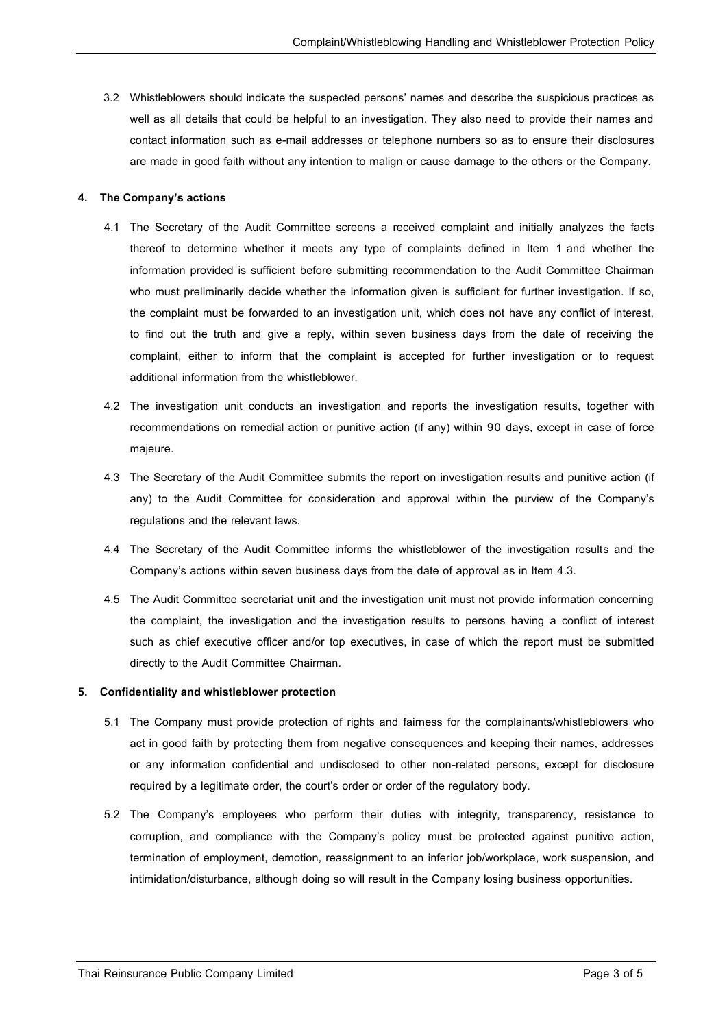3.2 Whistleblowers should indicate the suspected persons' names and describe the suspicious practices as well as all details that could be helpful to an investigation. They also need to provide their names and contact information such as e-mail addresses or telephone numbers so as to ensure their disclosures are made in good faith without any intention to malign or cause damage to the others or the Company.

#### **4. The Company's actions**

- 4.1 The Secretary of the Audit Committee screens a received complaint and initially analyzes the facts thereof to determine whether it meets any type of complaints defined in Item 1 and whether the information provided is sufficient before submitting recommendation to the Audit Committee Chairman who must preliminarily decide whether the information given is sufficient for further investigation. If so, the complaint must be forwarded to an investigation unit, which does not have any conflict of interest, to find out the truth and give a reply, within seven business days from the date of receiving the complaint, either to inform that the complaint is accepted for further investigation or to request additional information from the whistleblower.
- 4.2 The investigation unit conducts an investigation and reports the investigation results, together with recommendations on remedial action or punitive action (if any) within 90 days, except in case of force majeure.
- 4.3 The Secretary of the Audit Committee submits the report on investigation results and punitive action (if any) to the Audit Committee for consideration and approval within the purview of the Company's regulations and the relevant laws.
- 4.4 The Secretary of the Audit Committee informs the whistleblower of the investigation results and the Company's actions within seven business days from the date of approval as in Item 4.3.
- 4.5 The Audit Committee secretariat unit and the investigation unit must not provide information concerning the complaint, the investigation and the investigation results to persons having a conflict of interest such as chief executive officer and/or top executives, in case of which the report must be submitted directly to the Audit Committee Chairman.

#### **5. Confidentiality and whistleblower protection**

- 5.1 The Company must provide protection of rights and fairness for the complainants/whistleblowers who act in good faith by protecting them from negative consequences and keeping their names, addresses or any information confidential and undisclosed to other non-related persons, except for disclosure required by a legitimate order, the court's order or order of the regulatory body.
- 5.2 The Company's employees who perform their duties with integrity, transparency, resistance to corruption, and compliance with the Company's policy must be protected against punitive action, termination of employment, demotion, reassignment to an inferior job/workplace, work suspension, and intimidation/disturbance, although doing so will result in the Company losing business opportunities.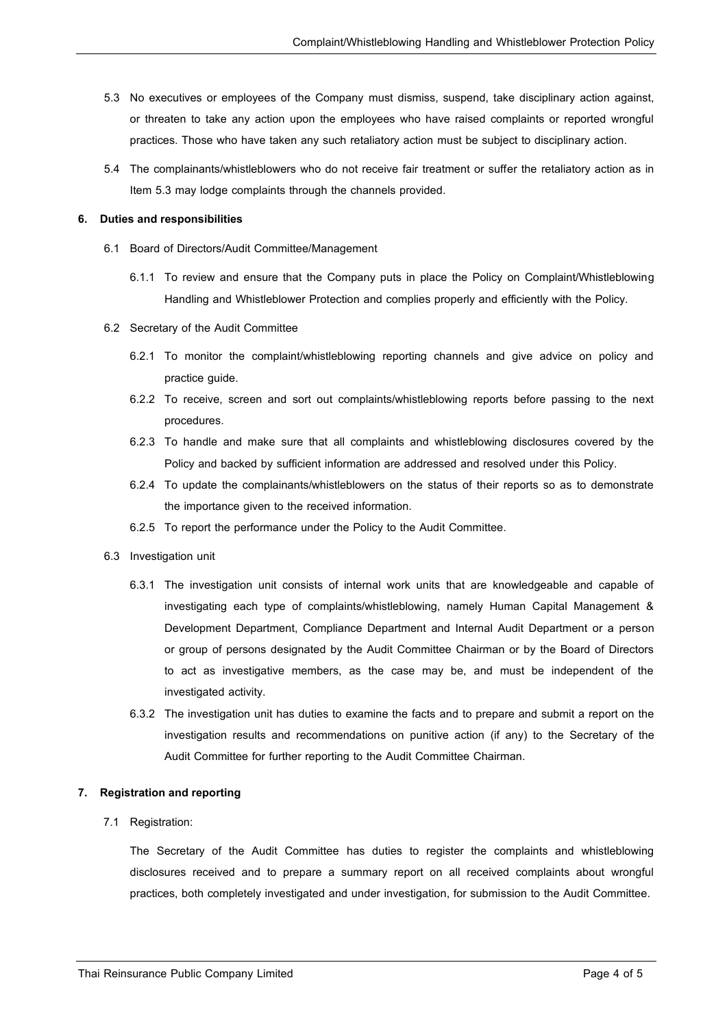- 5.3 No executives or employees of the Company must dismiss, suspend, take disciplinary action against, or threaten to take any action upon the employees who have raised complaints or reported wrongful practices. Those who have taken any such retaliatory action must be subject to disciplinary action.
- 5.4 The complainants/whistleblowers who do not receive fair treatment or suffer the retaliatory action as in Item 5.3 may lodge complaints through the channels provided.

#### **6. Duties and responsibilities**

- 6.1 Board of Directors/Audit Committee/Management
	- 6.1.1 To review and ensure that the Company puts in place the Policy on Complaint/Whistleblowing Handling and Whistleblower Protection and complies properly and efficiently with the Policy.
- 6.2 Secretary of the Audit Committee
	- 6.2.1 To monitor the complaint/whistleblowing reporting channels and give advice on policy and practice guide.
	- 6.2.2 To receive, screen and sort out complaints/whistleblowing reports before passing to the next procedures.
	- 6.2.3 To handle and make sure that all complaints and whistleblowing disclosures covered by the Policy and backed by sufficient information are addressed and resolved under this Policy.
	- 6.2.4 To update the complainants/whistleblowers on the status of their reports so as to demonstrate the importance given to the received information.
	- 6.2.5 To report the performance under the Policy to the Audit Committee.
- 6.3 Investigation unit
	- 6.3.1 The investigation unit consists of internal work units that are knowledgeable and capable of investigating each type of complaints/whistleblowing, namely Human Capital Management & Development Department, Compliance Department and Internal Audit Department or a person or group of persons designated by the Audit Committee Chairman or by the Board of Directors to act as investigative members, as the case may be, and must be independent of the investigated activity.
	- 6.3.2 The investigation unit has duties to examine the facts and to prepare and submit a report on the investigation results and recommendations on punitive action (if any) to the Secretary of the Audit Committee for further reporting to the Audit Committee Chairman.

#### **7. Registration and reporting**

## 7.1 Registration:

The Secretary of the Audit Committee has duties to register the complaints and whistleblowing disclosures received and to prepare a summary report on all received complaints about wrongful practices, both completely investigated and under investigation, for submission to the Audit Committee.